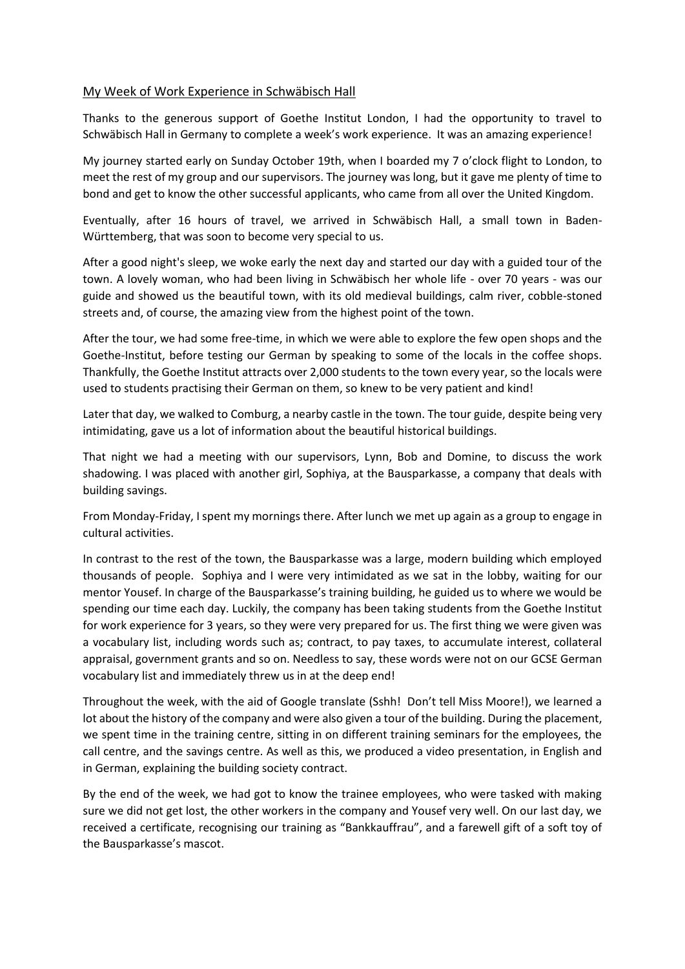## My Week of Work Experience in Schwäbisch Hall

Thanks to the generous support of Goethe Institut London, I had the opportunity to travel to Schwäbisch Hall in Germany to complete a week's work experience. It was an amazing experience!

My journey started early on Sunday October 19th, when I boarded my 7 o'clock flight to London, to meet the rest of my group and our supervisors. The journey was long, but it gave me plenty of time to bond and get to know the other successful applicants, who came from all over the United Kingdom.

Eventually, after 16 hours of travel, we arrived in Schwäbisch Hall, a small town in Baden-Württemberg, that was soon to become very special to us.

After a good night's sleep, we woke early the next day and started our day with a guided tour of the town. A lovely woman, who had been living in Schwäbisch her whole life - over 70 years - was our guide and showed us the beautiful town, with its old medieval buildings, calm river, cobble-stoned streets and, of course, the amazing view from the highest point of the town.

After the tour, we had some free-time, in which we were able to explore the few open shops and the Goethe-Institut, before testing our German by speaking to some of the locals in the coffee shops. Thankfully, the Goethe Institut attracts over 2,000 students to the town every year, so the locals were used to students practising their German on them, so knew to be very patient and kind!

Later that day, we walked to Comburg, a nearby castle in the town. The tour guide, despite being very intimidating, gave us a lot of information about the beautiful historical buildings.

That night we had a meeting with our supervisors, Lynn, Bob and Domine, to discuss the work shadowing. I was placed with another girl, Sophiya, at the Bausparkasse, a company that deals with building savings.

From Monday-Friday, I spent my mornings there. After lunch we met up again as a group to engage in cultural activities.

In contrast to the rest of the town, the Bausparkasse was a large, modern building which employed thousands of people. Sophiya and I were very intimidated as we sat in the lobby, waiting for our mentor Yousef. In charge of the Bausparkasse's training building, he guided us to where we would be spending our time each day. Luckily, the company has been taking students from the Goethe Institut for work experience for 3 years, so they were very prepared for us. The first thing we were given was a vocabulary list, including words such as; contract, to pay taxes, to accumulate interest, collateral appraisal, government grants and so on. Needless to say, these words were not on our GCSE German vocabulary list and immediately threw us in at the deep end!

Throughout the week, with the aid of Google translate (Sshh! Don't tell Miss Moore!), we learned a lot about the history of the company and were also given a tour of the building. During the placement, we spent time in the training centre, sitting in on different training seminars for the employees, the call centre, and the savings centre. As well as this, we produced a video presentation, in English and in German, explaining the building society contract.

By the end of the week, we had got to know the trainee employees, who were tasked with making sure we did not get lost, the other workers in the company and Yousef very well. On our last day, we received a certificate, recognising our training as "Bankkauffrau", and a farewell gift of a soft toy of the Bausparkasse's mascot.